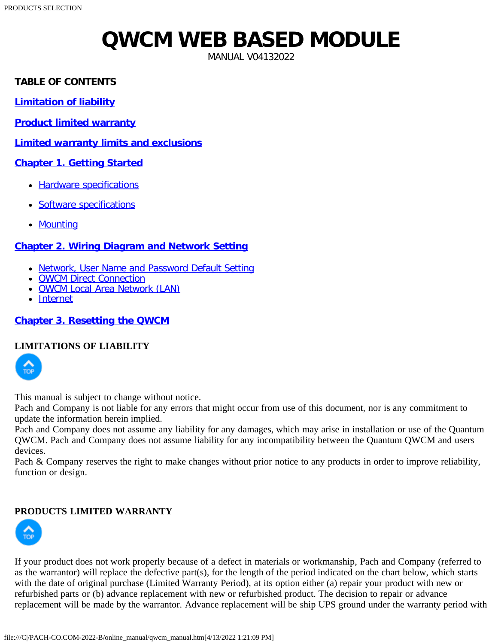# **QWCM WEB BASED MODULE**

MANUAL V04132022

#### <span id="page-0-3"></span><span id="page-0-2"></span>**TABLE OF CONTENTS**

**[Limitation of liability](#page-0-0)**

**[Product limited warranty](#page-0-1)**

**[Limited warranty limits and exclusions](#page-1-0)**

#### **[Chapter 1. Getting Started](#page-1-1)**

- [Hardware specifications](#page-1-2)
- [Software specifications](#page-2-0)
- [Mounting](#page-2-1)

#### **[Chapter 2. Wiring Diagram and Network Setting](#page-2-2)**

- [Network, User Name and Password Default Setting](#page-2-3)
- **[QWCM Direct Connection](#page-3-0)**
- [QWCM Local Area Network \(LAN\)](#page-3-1)
- [Internet](#page-4-0)

#### **[Chapter 3. Resetting the QWCM](#page-5-0)**

#### <span id="page-0-0"></span>**[LIMIT](#page-0-2)ATIONS OF LIABILITY**



This manual is subject to change without notice.

Pach and Company is not liable for any errors that might occur from use of this document, nor is any commitment to update the information herein implied.

Pach and Company does not assume any liability for any damages, which may arise in installation or use of the Quantum QWCM. Pach and Company does not assume liability for any incompatibility between the Quantum QWCM and users devices.

Pach & Company reserves the right to make changes without prior notice to any products in order to improve reliability, function or design.

#### <span id="page-0-1"></span>**PRODUCTS LIMITED WARRANTY**



If your product does not work properly because of a defect in materials or workmanship, Pach and Company (referred to as the warrantor) will replace the defective part(s), for the length of the period indicated on the chart below, which starts with the date of original purchase (Limited Warranty Period), at its option either (a) repair your product with new or refurbished parts or (b) advance replacement with new or refurbished product. The decision to repair or advance replacement will be made by the warrantor. Advance replacement will be ship UPS ground under the warranty period with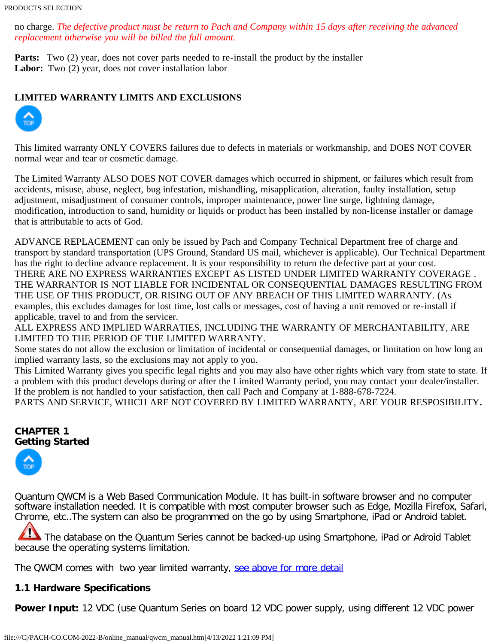#### PRODUCTS SELECTION

no charge. *The defective product must be return to Pach and Company within 15 days after receiving the advanced replacement otherwise you will be billed the full amount.*

**Parts:** Two (2) year, does not cover parts needed to re-install the product by the installer Labor: Two (2) year, does not cover installation labor

#### <span id="page-1-0"></span>**LIMITED WARRANTY LIMITS AND EXCLUSIONS**



This limited warranty ONLY COVERS failures due to defects in materials or workmanship, and DOES NOT COVER normal wear and tear or cosmetic damage.

The Limited Warranty ALSO DOES NOT COVER damages which occurred in shipment, or failures which result from accidents, misuse, abuse, neglect, bug infestation, mishandling, misapplication, alteration, faulty installation, setup adjustment, misadjustment of consumer controls, improper maintenance, power line surge, lightning damage, modification, introduction to sand, humidity or liquids or product has been installed by non-license installer or damage that is attributable to acts of God.

ADVANCE REPLACEMENT can only be issued by Pach and Company Technical Department free of charge and transport by standard transportation (UPS Ground, Standard US mail, whichever is applicable). Our Technical Department has the right to decline advance replacement. It is your responsibility to return the defective part at your cost. THERE ARE NO EXPRESS WARRANTIES EXCEPT AS LISTED UNDER LIMITED WARRANTY COVERAGE . THE WARRANTOR IS NOT LIABLE FOR INCIDENTAL OR CONSEQUENTIAL DAMAGES RESULTING FROM THE USE OF THIS PRODUCT, OR RISING OUT OF ANY BREACH OF THIS LIMITED WARRANTY. (As examples, this excludes damages for lost time, lost calls or messages, cost of having a unit removed or re-install if applicable, travel to and from the servicer.

ALL EXPRESS AND IMPLIED WARRATIES, INCLUDING THE WARRANTY OF MERCHANTABILITY, ARE LIMITED TO THE PERIOD OF THE LIMITED WARRANTY.

Some states do not allow the exclusion or limitation of incidental or consequential damages, or limitation on how long an implied warranty lasts, so the exclusions may not apply to you.

This Limited Warranty gives you specific legal rights and you may also have other rights which vary from state to state. If a problem with this product develops during or after the Limited Warranty period, you may contact your dealer/installer. If the problem is not handled to your satisfaction, then call Pach and Company at 1-888-678-7224.

PARTS AND SERVICE, WHICH ARE NOT COVERED BY LIMITED WARRANTY, ARE YOUR RESPOSIBILITY**.**

#### <span id="page-1-1"></span>**CHAPTER 1 [Gettin](#page-0-2)g Started**



Quantum QWCM is a Web Based Communication Module. It has built-in software browser and no computer software installation needed. It is compatible with most computer browser such as Edge, Mozilla Firefox, Safari, Chrome, etc..The system can also be programmed on the go by using Smartphone, iPad or Android tablet.

The database on the Quantum Series cannot be backed-up using Smartphone, iPad or Adroid Tablet because the operating systems limitation.

The QWCM comes with two year limited warranty, [see above for more detail](#page-1-0)

#### <span id="page-1-2"></span>**1.1 Hardware Specifications**

**Power Input:** 12 VDC (use Quantum Series on board 12 VDC power supply, using different 12 VDC power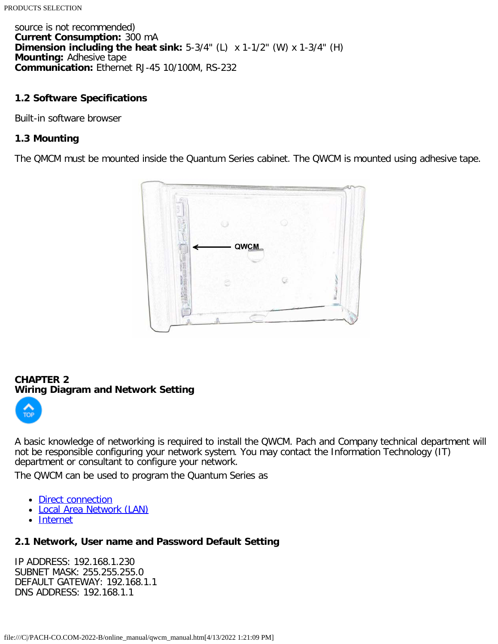source is not recommended) **Current Consumption:** 300 mA **Dimension including the heat sink:** 5-3/4" (L) x 1-1/2" (W) x 1-3/4" (H) **Mounting:** Adhesive tape **Communication:** Ethernet RJ-45 10/100M, RS-232

#### <span id="page-2-0"></span>**1.2 Software Specifications**

Built-in software browser

#### <span id="page-2-1"></span>**1.3 Mounting**

The QMCM must be mounted inside the Quantum Series cabinet. The QWCM is mounted using adhesive tape.



#### <span id="page-2-2"></span>**CHAPTER 2 [Wiring](#page-0-2) Diagram and Network Setting**



A basic knowledge of networking is required to install the QWCM. Pach and Company technical department will not be responsible configuring your network system. You may contact the Information Technology (IT) department or consultant to configure your network.

The QWCM can be used to program the Quantum Series as

- [Direct connection](#page-3-0)
- [Local Area Network \(LAN\)](#page-3-1)
- [Internet](#page-4-0)

#### <span id="page-2-3"></span>**2.1 Network, User name and Password Default Setting**

IP ADDRESS: 192.168.1.230 SUBNET MASK: 255.255.255.0 DEFAULT GATEWAY: 192.168.1.1 DNS ADDRESS: 192.168.1.1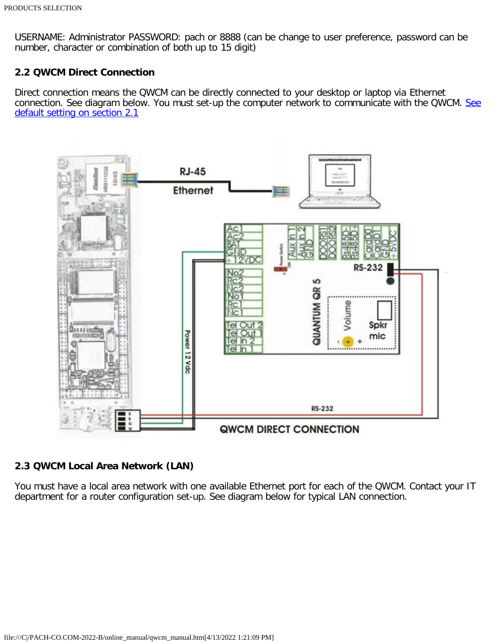USERNAME: Administrator PASSWORD: pach or 8888 (can be change to user preference, password can be number, character or combination of both up to 15 digit)

#### <span id="page-3-0"></span>**2.2 QWCM Direct Connection**

Direct connection means the QWCM can be directly connected to your desktop or laptop via Ethernet connection. [See](#page-0-3) diagram below. You must set-up the computer network to communicate with the QWCM. See [default setting on section 2.1](#page-0-3)



#### <span id="page-3-1"></span>**2.3 QWCM Local Area Network (LAN)**

You must have a local area network with one available Ethernet port for each of the QWCM. Contact your IT department for a router configuration set-up. See diagram below for typical LAN connection.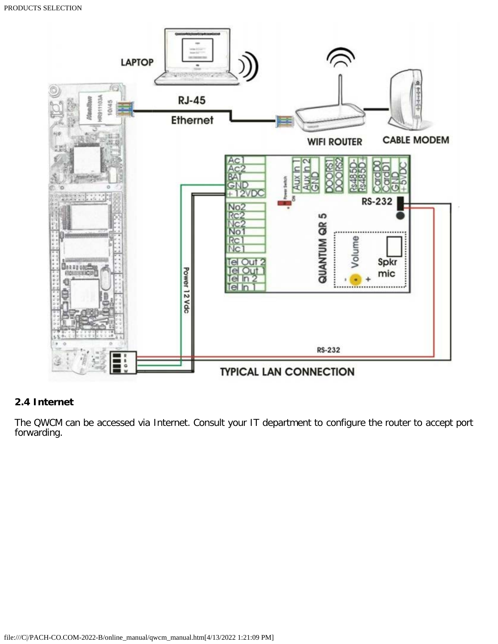

### <span id="page-4-0"></span>**2.4 Internet**

The QWCM can be accessed via Internet. Consult your IT department to configure the router to accept port forwarding.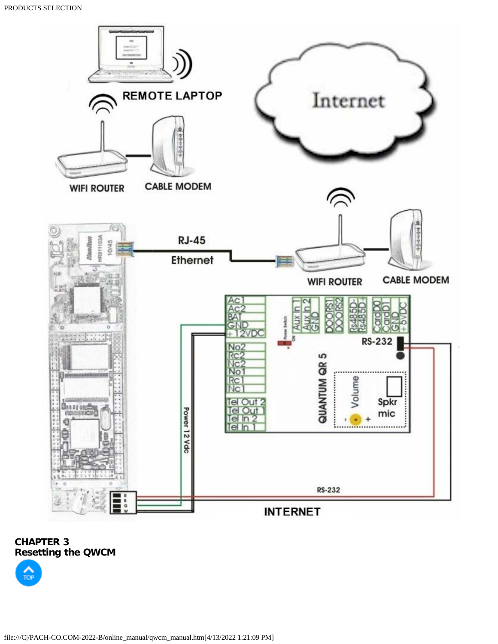

## <span id="page-5-0"></span>**CHAPTER 3 [Resett](#page-0-2)ing the QWCM**